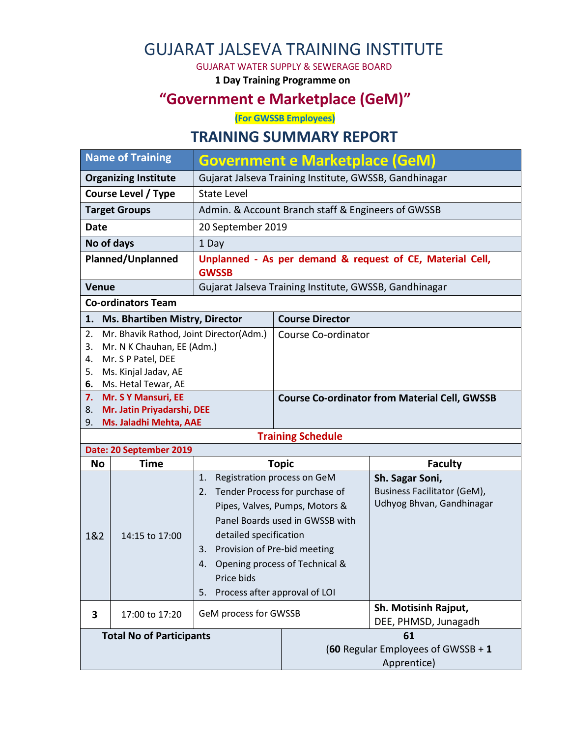# GUJARAT JALSEVA TRAINING INSTITUTE

#### GUJARAT WATER SUPPLY & SEWERAGE BOARD

**1 Day Training Programme on**

### **"Government e Marketplace (GeM)"**

**(For GWSSB Employees)**

### **TRAINING SUMMARY REPORT**

| <b>Name of Training</b>                                                                                                                                                  |                                                   | <b>Government e Marketplace (GeM)</b>                                                              |                                                                                                                                                                                                       |                                                                                    |  |  |
|--------------------------------------------------------------------------------------------------------------------------------------------------------------------------|---------------------------------------------------|----------------------------------------------------------------------------------------------------|-------------------------------------------------------------------------------------------------------------------------------------------------------------------------------------------------------|------------------------------------------------------------------------------------|--|--|
| <b>Organizing Institute</b>                                                                                                                                              |                                                   |                                                                                                    |                                                                                                                                                                                                       | Gujarat Jalseva Training Institute, GWSSB, Gandhinagar                             |  |  |
| <b>Course Level / Type</b>                                                                                                                                               |                                                   | <b>State Level</b>                                                                                 |                                                                                                                                                                                                       |                                                                                    |  |  |
| <b>Target Groups</b>                                                                                                                                                     |                                                   |                                                                                                    | Admin. & Account Branch staff & Engineers of GWSSB                                                                                                                                                    |                                                                                    |  |  |
| <b>Date</b>                                                                                                                                                              |                                                   | 20 September 2019                                                                                  |                                                                                                                                                                                                       |                                                                                    |  |  |
| No of days                                                                                                                                                               |                                                   | 1 Day                                                                                              |                                                                                                                                                                                                       |                                                                                    |  |  |
| <b>Planned/Unplanned</b>                                                                                                                                                 |                                                   | Unplanned - As per demand & request of CE, Material Cell,<br><b>GWSSB</b>                          |                                                                                                                                                                                                       |                                                                                    |  |  |
| <b>Venue</b>                                                                                                                                                             |                                                   |                                                                                                    |                                                                                                                                                                                                       | Gujarat Jalseva Training Institute, GWSSB, Gandhinagar                             |  |  |
|                                                                                                                                                                          | <b>Co-ordinators Team</b>                         |                                                                                                    |                                                                                                                                                                                                       |                                                                                    |  |  |
| 1.                                                                                                                                                                       | Ms. Bhartiben Mistry, Director                    |                                                                                                    | <b>Course Director</b>                                                                                                                                                                                |                                                                                    |  |  |
| Mr. Bhavik Rathod, Joint Director(Adm.)<br>2.<br>Mr. N K Chauhan, EE (Adm.)<br>3.<br>Mr. S P Patel, DEE<br>4.<br>Ms. Kinjal Jadav, AE<br>5.<br>Ms. Hetal Tewar, AE<br>6. |                                                   | Course Co-ordinator                                                                                |                                                                                                                                                                                                       |                                                                                    |  |  |
| Mr. S Y Mansuri, EE<br>7.<br>Mr. Jatin Priyadarshi, DEE<br>8.<br>Ms. Jaladhi Mehta, AAE<br>9.                                                                            |                                                   | <b>Course Co-ordinator from Material Cell, GWSSB</b>                                               |                                                                                                                                                                                                       |                                                                                    |  |  |
|                                                                                                                                                                          |                                                   |                                                                                                    |                                                                                                                                                                                                       |                                                                                    |  |  |
|                                                                                                                                                                          |                                                   |                                                                                                    | <b>Training Schedule</b>                                                                                                                                                                              |                                                                                    |  |  |
|                                                                                                                                                                          | Date: 20 September 2019                           |                                                                                                    |                                                                                                                                                                                                       |                                                                                    |  |  |
| <b>No</b>                                                                                                                                                                | <b>Time</b>                                       |                                                                                                    | <b>Topic</b>                                                                                                                                                                                          | <b>Faculty</b>                                                                     |  |  |
| 1&2                                                                                                                                                                      | 14:15 to 17:00                                    | 1.<br>2.<br>detailed specification<br>Provision of Pre-bid meeting<br>3.<br>4.<br>Price bids<br>5. | Registration process on GeM<br>Tender Process for purchase of<br>Pipes, Valves, Pumps, Motors &<br>Panel Boards used in GWSSB with<br>Opening process of Technical &<br>Process after approval of LOI | Sh. Sagar Soni,<br><b>Business Facilitator (GeM),</b><br>Udhyog Bhvan, Gandhinagar |  |  |
|                                                                                                                                                                          |                                                   | GeM process for GWSSB                                                                              |                                                                                                                                                                                                       | Sh. Motisinh Rajput,                                                               |  |  |
| 3                                                                                                                                                                        | 17:00 to 17:20<br><b>Total No of Participants</b> |                                                                                                    |                                                                                                                                                                                                       | DEE, PHMSD, Junagadh<br>61                                                         |  |  |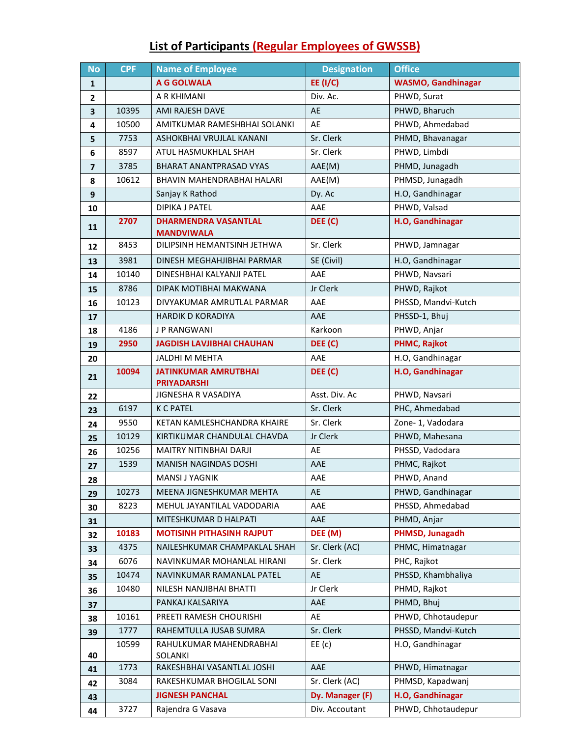## **List of Participants (Regular Employees of GWSSB)**

| <b>No</b>               | <b>CPF</b> | <b>Name of Employee</b>                           | <b>Designation</b> | <b>Office</b>             |
|-------------------------|------------|---------------------------------------------------|--------------------|---------------------------|
| $\mathbf{1}$            |            | A G GOLWALA                                       | <b>EE (I/C)</b>    | <b>WASMO, Gandhinagar</b> |
| $\mathbf{2}$            |            | A R KHIMANI                                       | Div. Ac.           | PHWD, Surat               |
| $\overline{\mathbf{3}}$ | 10395      | AMI RAJESH DAVE                                   | AE                 | PHWD, Bharuch             |
| 4                       | 10500      | AMITKUMAR RAMESHBHAI SOLANKI                      | AE                 | PHWD, Ahmedabad           |
| 5                       | 7753       | ASHOKBHAI VRUJLAL KANANI                          | Sr. Clerk          | PHMD, Bhavanagar          |
| 6                       | 8597       | ATUL HASMUKHLAL SHAH                              | Sr. Clerk          | PHWD, Limbdi              |
| $\overline{7}$          | 3785       | BHARAT ANANTPRASAD VYAS                           | AAE(M)             | PHMD, Junagadh            |
| 8                       | 10612      | BHAVIN MAHENDRABHAI HALARI                        | AAE(M)             | PHMSD, Junagadh           |
| 9                       |            | Sanjay K Rathod                                   | Dy. Ac             | H.O, Gandhinagar          |
| 10                      |            | <b>DIPIKA J PATEL</b>                             | AAE                | PHWD, Valsad              |
| 11                      | 2707       | <b>DHARMENDRA VASANTLAL</b>                       | DEE (C)            | H.O, Gandhinagar          |
|                         |            | <b>MANDVIWALA</b>                                 |                    |                           |
| $12 \overline{ }$       | 8453       | DILIPSINH HEMANTSINH JETHWA                       | Sr. Clerk          | PHWD, Jamnagar            |
| 13                      | 3981       | DINESH MEGHAHJIBHAI PARMAR                        | SE (Civil)         | H.O, Gandhinagar          |
| 14                      | 10140      | DINESHBHAI KALYANJI PATEL                         | AAE                | PHWD, Navsari             |
| 15                      | 8786       | DIPAK MOTIBHAI MAKWANA                            | Jr Clerk           | PHWD, Rajkot              |
| 16                      | 10123      | DIVYAKUMAR AMRUTLAL PARMAR                        | AAE                | PHSSD, Mandvi-Kutch       |
| 17                      |            | <b>HARDIK D KORADIYA</b>                          | AAE                | PHSSD-1, Bhuj             |
| 18                      | 4186       | <b>JP RANGWANI</b>                                | Karkoon            | PHWD, Anjar               |
| 19                      | 2950       | <b>JAGDISH LAVJIBHAI CHAUHAN</b>                  | DEE (C)            | <b>PHMC, Rajkot</b>       |
| 20                      |            | <b>JALDHI M MEHTA</b>                             | AAE                | H.O, Gandhinagar          |
| 21                      | 10094      | <b>JATINKUMAR AMRUTBHAI</b><br><b>PRIYADARSHI</b> | DEE (C)            | H.O, Gandhinagar          |
| 22                      |            | <b>JIGNESHA R VASADIYA</b>                        | Asst. Div. Ac      | PHWD, Navsari             |
| 23                      | 6197       | <b>K C PATEL</b>                                  | Sr. Clerk          | PHC, Ahmedabad            |
| 24                      | 9550       | KETAN KAMLESHCHANDRA KHAIRE                       | Sr. Clerk          | Zone-1, Vadodara          |
| 25                      | 10129      | KIRTIKUMAR CHANDULAL CHAVDA                       | Jr Clerk           | PHWD, Mahesana            |
| 26                      | 10256      | MAITRY NITINBHAI DARJI                            | AE                 | PHSSD, Vadodara           |
| 27                      | 1539       | <b>MANISH NAGINDAS DOSHI</b>                      | AAE                | PHMC, Rajkot              |
| 28                      |            | MANSI J YAGNIK                                    | AAE                | PHWD, Anand               |
| 29                      | 10273      | MEENA JIGNESHKUMAR MEHTA                          | AE                 | PHWD, Gandhinagar         |
| 30                      | 8223       | MEHUL JAYANTILAL VADODARIA                        | AAE                | PHSSD, Ahmedabad          |
| 31                      |            | MITESHKUMAR D HALPATI                             | AAE                | PHMD, Anjar               |
| 32                      | 10183      | <b>MOTISINH PITHASINH RAJPUT</b>                  | DEE (M)            | PHMSD, Junagadh           |
| 33                      | 4375       | NAILESHKUMAR CHAMPAKLAL SHAH                      | Sr. Clerk (AC)     | PHMC, Himatnagar          |
| 34                      | 6076       | NAVINKUMAR MOHANLAL HIRANI                        | Sr. Clerk          | PHC, Rajkot               |
| 35                      | 10474      | NAVINKUMAR RAMANLAL PATEL                         | AE                 | PHSSD, Khambhaliya        |
| 36                      | 10480      | NILESH NANJIBHAI BHATTI                           | Jr Clerk           | PHMD, Rajkot              |
| 37                      |            | PANKAJ KALSARIYA                                  | AAE                | PHMD, Bhuj                |
| 38                      | 10161      | PREETI RAMESH CHOURISHI                           | AE                 | PHWD, Chhotaudepur        |
| 39                      | 1777       | RAHEMTULLA JUSAB SUMRA                            | Sr. Clerk          | PHSSD, Mandvi-Kutch       |
|                         | 10599      | RAHULKUMAR MAHENDRABHAI                           | $EE$ (c)           | H.O, Gandhinagar          |
| 40                      | 1773       | SOLANKI<br>RAKESHBHAI VASANTLAL JOSHI             | AAE                | PHWD, Himatnagar          |
| 41                      | 3084       | RAKESHKUMAR BHOGILAL SONI                         | Sr. Clerk (AC)     | PHMSD, Kapadwanj          |
| 42                      |            | <b>JIGNESH PANCHAL</b>                            | Dy. Manager (F)    | H.O, Gandhinagar          |
| 43                      | 3727       | Rajendra G Vasava                                 | Div. Accoutant     | PHWD, Chhotaudepur        |
| 44                      |            |                                                   |                    |                           |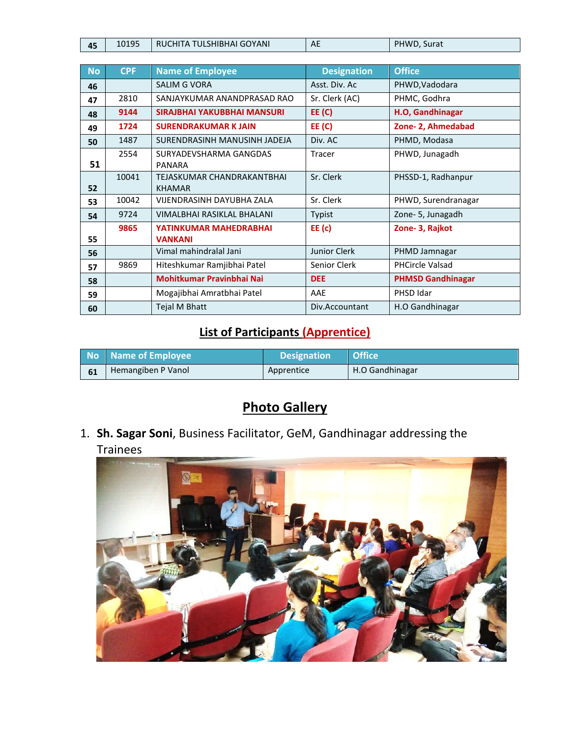| 45 | 10195 | RUCHITA TULSHIBHAI GOYANI | AE | PHWD<br>Surat |
|----|-------|---------------------------|----|---------------|

| <b>No</b> | <b>CPF</b> | <b>Name of Employee</b>          | <b>Designation</b> | <b>Office</b>            |
|-----------|------------|----------------------------------|--------------------|--------------------------|
| 46        |            | <b>SALIM G VORA</b>              | Asst. Div. Ac      | PHWD, Vadodara           |
| 47        | 2810       | SANJAYKUMAR ANANDPRASAD RAO      | Sr. Clerk (AC)     | PHMC, Godhra             |
| 48        | 9144       | SIRAJBHAI YAKUBBHAI MANSURI      | EE(C)              | H.O, Gandhinagar         |
| 49        | 1724       | <b>SURENDRAKUMAR K JAIN</b>      | EE(C)              | Zone- 2, Ahmedabad       |
| 50        | 1487       | SURENDRASINH MANUSINH JADEJA     | Div. AC            | PHMD, Modasa             |
|           | 2554       | SURYADEVSHARMA GANGDAS           | <b>Tracer</b>      | PHWD, Junagadh           |
| 51        |            | <b>PANARA</b>                    |                    |                          |
|           | 10041      | TEJASKUMAR CHANDRAKANTBHAI       | Sr. Clerk          | PHSSD-1, Radhanpur       |
| 52        |            | <b>KHAMAR</b>                    |                    |                          |
| 53        | 10042      | <b>VIJENDRASINH DAYUBHA ZALA</b> | Sr. Clerk          | PHWD, Surendranagar      |
| 54        | 9724       | VIMALBHAI RASIKLAL BHALANI       | Typist             | Zone-5, Junagadh         |
|           | 9865       | YATINKUMAR MAHEDRABHAI           | $EE$ (c)           | Zone-3, Rajkot           |
| 55        |            | <b>VANKANI</b>                   |                    |                          |
| 56        |            | Vimal mahindralal Jani           | Junior Clerk       | PHMD Jamnagar            |
| 57        | 9869       | Hiteshkumar Ramjibhai Patel      | Senior Clerk       | <b>PHCircle Valsad</b>   |
| 58        |            | Mohitkumar Pravinbhai Nai        | <b>DEE</b>         | <b>PHMSD Gandhinagar</b> |
| 59        |            | Mogajibhai Amratbhai Patel       | AAE                | PHSD Idar                |
| 60        |            | Tejal M Bhatt                    | Div.Accountant     | H.O Gandhinagar          |

### **List of Participants (Apprentice)**

| No Name of Employee | <b>Designation</b> | Office          |
|---------------------|--------------------|-----------------|
| Hemangiben P Vanol  | Apprentice         | H.O Gandhinagar |

# **Photo Gallery**

1. **Sh. Sagar Soni**, Business Facilitator, GeM, Gandhinagar addressing the Trainees